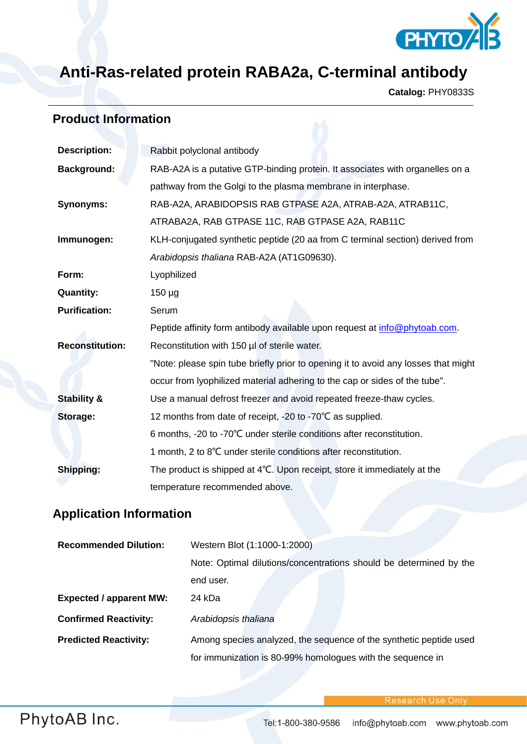

## **Anti-Ras-related protein RABA2a, C-terminal antibody**

**Catalog:** PHY0833S

## **Product Information**

| <b>Description:</b>    | Rabbit polyclonal antibody                                                         |  |
|------------------------|------------------------------------------------------------------------------------|--|
| <b>Background:</b>     | RAB-A2A is a putative GTP-binding protein. It associates with organelles on a      |  |
|                        | pathway from the Golgi to the plasma membrane in interphase.                       |  |
| <b>Synonyms:</b>       | RAB-A2A, ARABIDOPSIS RAB GTPASE A2A, ATRAB-A2A, ATRAB11C,                          |  |
|                        | ATRABA2A, RAB GTPASE 11C, RAB GTPASE A2A, RAB11C                                   |  |
| Immunogen:             | KLH-conjugated synthetic peptide (20 aa from C terminal section) derived from      |  |
|                        | Arabidopsis thaliana RAB-A2A (AT1G09630).                                          |  |
| Form:                  | Lyophilized                                                                        |  |
| <b>Quantity:</b>       | $150 \mu g$                                                                        |  |
| <b>Purification:</b>   | Serum                                                                              |  |
|                        | Peptide affinity form antibody available upon request at info@phytoab.com.         |  |
| <b>Reconstitution:</b> | Reconstitution with 150 µl of sterile water.                                       |  |
|                        | "Note: please spin tube briefly prior to opening it to avoid any losses that might |  |
|                        | occur from lyophilized material adhering to the cap or sides of the tube".         |  |
| <b>Stability &amp;</b> | Use a manual defrost freezer and avoid repeated freeze-thaw cycles.                |  |
| Storage:               | 12 months from date of receipt, -20 to -70°C as supplied.                          |  |
|                        | 6 months, -20 to -70°C under sterile conditions after reconstitution.              |  |
|                        | 1 month, 2 to 8°C under sterile conditions after reconstitution.                   |  |
| Shipping:              | The product is shipped at 4°C. Upon receipt, store it immediately at the           |  |
|                        | temperature recommended above.                                                     |  |
|                        |                                                                                    |  |

## **Application Information**

| <b>Recommended Dilution:</b>   | Western Blot (1:1000-1:2000)                                       |
|--------------------------------|--------------------------------------------------------------------|
|                                | Note: Optimal dilutions/concentrations should be determined by the |
|                                | end user.                                                          |
| <b>Expected / apparent MW:</b> | 24 kDa                                                             |
| <b>Confirmed Reactivity:</b>   | Arabidopsis thaliana                                               |
| <b>Predicted Reactivity:</b>   | Among species analyzed, the sequence of the synthetic peptide used |
|                                | for immunization is 80-99% homologues with the sequence in         |